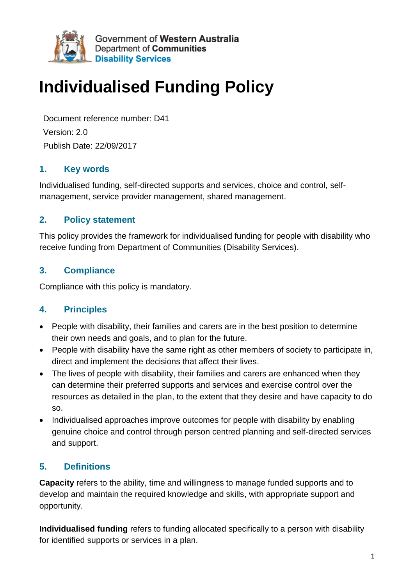

Government of Western Australia Department of Communities **Disability Services** 

# **Individualised Funding Policy**

Document reference number: D41 Version: 2.0 Publish Date: 22/09/2017

## **1. Key words**

Individualised funding, self-directed supports and services, choice and control, selfmanagement, service provider management, shared management.

## **2. Policy statement**

This policy provides the framework for individualised funding for people with disability who receive funding from Department of Communities (Disability Services).

## **3. Compliance**

Compliance with this policy is mandatory.

## **4. Principles**

- People with disability, their families and carers are in the best position to determine their own needs and goals, and to plan for the future.
- People with disability have the same right as other members of society to participate in, direct and implement the decisions that affect their lives.
- The lives of people with disability, their families and carers are enhanced when they can determine their preferred supports and services and exercise control over the resources as detailed in the plan, to the extent that they desire and have capacity to do so.
- Individualised approaches improve outcomes for people with disability by enabling genuine choice and control through person centred planning and self-directed services and support.

## **5. Definitions**

**Capacity** refers to the ability, time and willingness to manage funded supports and to develop and maintain the required knowledge and skills, with appropriate support and opportunity.

**Individualised funding** refers to funding allocated specifically to a person with disability for identified supports or services in a plan.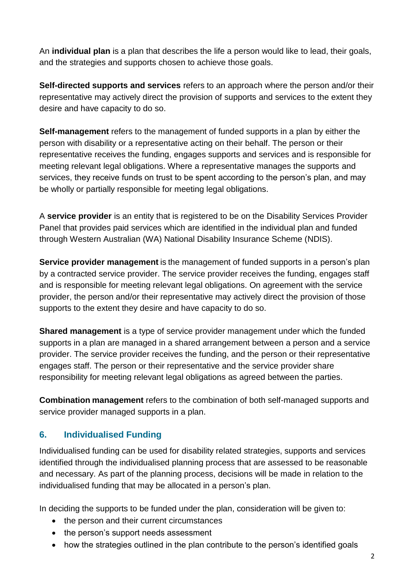An **individual plan** is a plan that describes the life a person would like to lead, their goals, and the strategies and supports chosen to achieve those goals.

**Self-directed supports and services** refers to an approach where the person and/or their representative may actively direct the provision of supports and services to the extent they desire and have capacity to do so.

**Self-management** refers to the management of funded supports in a plan by either the person with disability or a representative acting on their behalf. The person or their representative receives the funding, engages supports and services and is responsible for meeting relevant legal obligations. Where a representative manages the supports and services, they receive funds on trust to be spent according to the person's plan, and may be wholly or partially responsible for meeting legal obligations.

A **service provider** is an entity that is registered to be on the Disability Services Provider Panel that provides paid services which are identified in the individual plan and funded through Western Australian (WA) National Disability Insurance Scheme (NDIS).

**Service provider management** is the management of funded supports in a person's plan by a contracted service provider. The service provider receives the funding, engages staff and is responsible for meeting relevant legal obligations. On agreement with the service provider, the person and/or their representative may actively direct the provision of those supports to the extent they desire and have capacity to do so.

**Shared management** is a type of service provider management under which the funded supports in a plan are managed in a shared arrangement between a person and a service provider. The service provider receives the funding, and the person or their representative engages staff. The person or their representative and the service provider share responsibility for meeting relevant legal obligations as agreed between the parties.

**Combination management** refers to the combination of both self-managed supports and service provider managed supports in a plan.

## **6. Individualised Funding**

Individualised funding can be used for disability related strategies, supports and services identified through the individualised planning process that are assessed to be reasonable and necessary. As part of the planning process, decisions will be made in relation to the individualised funding that may be allocated in a person's plan.

In deciding the supports to be funded under the plan, consideration will be given to:

- the person and their current circumstances
- the person's support needs assessment
- how the strategies outlined in the plan contribute to the person's identified goals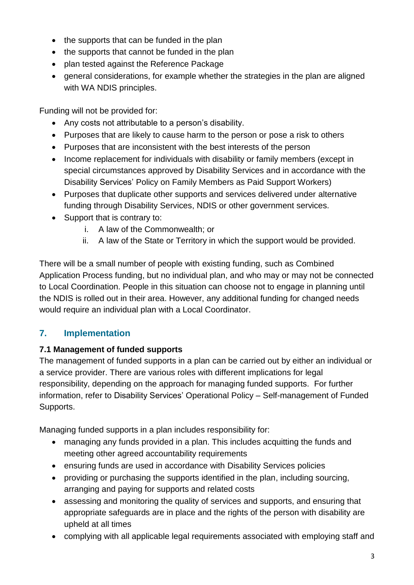- the supports that can be funded in the plan
- the supports that cannot be funded in the plan
- plan tested against the Reference Package
- general considerations, for example whether the strategies in the plan are aligned with WA NDIS principles.

Funding will not be provided for:

- Any costs not attributable to a person's disability.
- Purposes that are likely to cause harm to the person or pose a risk to others
- Purposes that are inconsistent with the best interests of the person
- Income replacement for individuals with disability or family members (except in special circumstances approved by Disability Services and in accordance with the Disability Services' Policy on Family Members as Paid Support Workers)
- Purposes that duplicate other supports and services delivered under alternative funding through Disability Services, NDIS or other government services.
- Support that is contrary to:
	- i. A law of the Commonwealth; or
	- ii. A law of the State or Territory in which the support would be provided.

There will be a small number of people with existing funding, such as Combined Application Process funding, but no individual plan, and who may or may not be connected to Local Coordination. People in this situation can choose not to engage in planning until the NDIS is rolled out in their area. However, any additional funding for changed needs would require an individual plan with a Local Coordinator.

## **7. Implementation**

## **7.1 Management of funded supports**

The management of funded supports in a plan can be carried out by either an individual or a service provider. There are various roles with different implications for legal responsibility, depending on the approach for managing funded supports. For further information, refer to Disability Services' Operational Policy – Self-management of Funded Supports.

Managing funded supports in a plan includes responsibility for:

- managing any funds provided in a plan. This includes acquitting the funds and meeting other agreed accountability requirements
- ensuring funds are used in accordance with Disability Services policies
- providing or purchasing the supports identified in the plan, including sourcing, arranging and paying for supports and related costs
- assessing and monitoring the quality of services and supports, and ensuring that appropriate safeguards are in place and the rights of the person with disability are upheld at all times
- complying with all applicable legal requirements associated with employing staff and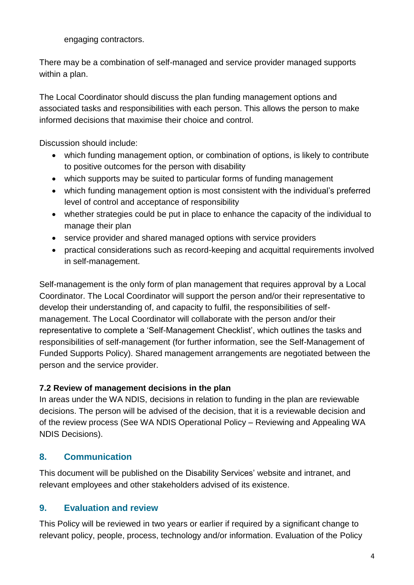engaging contractors.

There may be a combination of self-managed and service provider managed supports within a plan.

The Local Coordinator should discuss the plan funding management options and associated tasks and responsibilities with each person. This allows the person to make informed decisions that maximise their choice and control.

Discussion should include:

- which funding management option, or combination of options, is likely to contribute to positive outcomes for the person with disability
- which supports may be suited to particular forms of funding management
- which funding management option is most consistent with the individual's preferred level of control and acceptance of responsibility
- whether strategies could be put in place to enhance the capacity of the individual to manage their plan
- service provider and shared managed options with service providers
- practical considerations such as record-keeping and acquittal requirements involved in self-management.

Self-management is the only form of plan management that requires approval by a Local Coordinator. The Local Coordinator will support the person and/or their representative to develop their understanding of, and capacity to fulfil, the responsibilities of selfmanagement. The Local Coordinator will collaborate with the person and/or their representative to complete a 'Self-Management Checklist', which outlines the tasks and responsibilities of self-management (for further information, see the Self-Management of Funded Supports Policy). Shared management arrangements are negotiated between the person and the service provider.

#### **7.2 Review of management decisions in the plan**

In areas under the WA NDIS, decisions in relation to funding in the plan are reviewable decisions. The person will be advised of the decision, that it is a reviewable decision and of the review process (See WA NDIS Operational Policy – Reviewing and Appealing WA NDIS Decisions).

## **8. Communication**

This document will be published on the Disability Services' website and intranet, and relevant employees and other stakeholders advised of its existence.

## **9. Evaluation and review**

This Policy will be reviewed in two years or earlier if required by a significant change to relevant policy, people, process, technology and/or information. Evaluation of the Policy